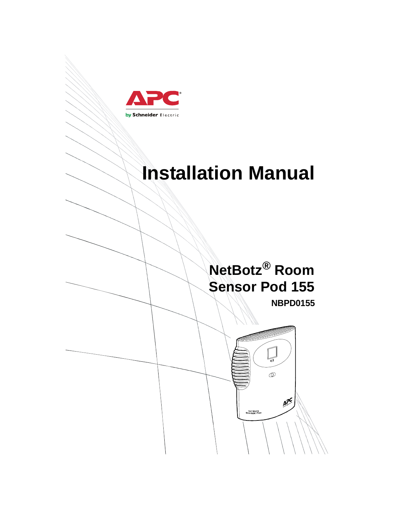

# **Installation Manual**

# **NetBotz® Room Sensor Pod 155**

**NBPD0155**

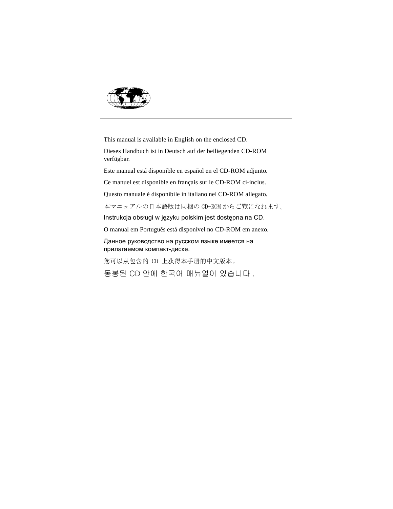

This manual is available in English on the enclosed CD.

Dieses Handbuch ist in Deutsch auf der beiliegenden CD-ROM verfügbar.

Este manual está disponible en español en el CD-ROM adjunto.

Ce manuel est disponible en français sur le CD-ROM ci-inclus.

Questo manuale è disponibile in italiano nel CD-ROM allegato.

本マニュアルの日本語版は同梱の CD-ROM からご覧になれます。

Instrukcja obsługi w języku polskim jest dostępna na CD.

O manual em Português está disponível no CD-ROM em anexo.

Данное руководство на русском языке имеется на прилагаемом компакт-диске.

您可以从包含的 CD 上获得本手册的中文版本。

동봉된 CD 안에 한국어 매뉴얼이 있습니다 .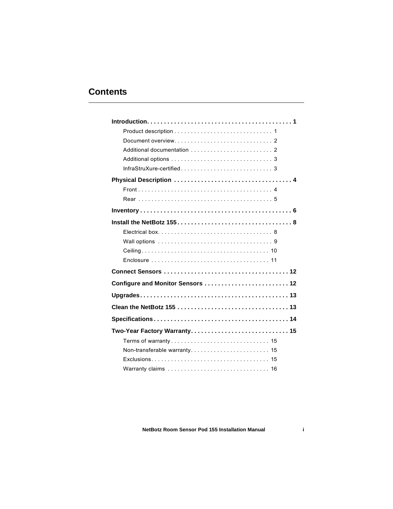## **Contents**

| Configure and Monitor Sensors  12 |
|-----------------------------------|
|                                   |
|                                   |
|                                   |
| Two-Year Factory Warranty 15      |
|                                   |
|                                   |
|                                   |
|                                   |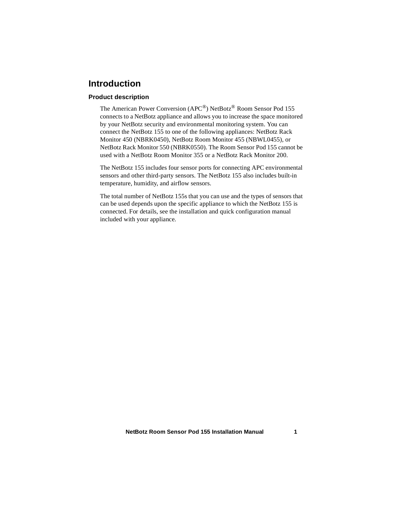## <span id="page-4-0"></span>**Introduction**

## <span id="page-4-1"></span>**Product description**

The American Power Conversion (APC®) NetBotz® Room Sensor Pod 155 connects to a NetBotz appliance and allows you to increase the space monitored by your NetBotz security and environmental monitoring system. You can connect the NetBotz 155 to one of the following appliances: NetBotz Rack Monitor 450 (NBRK0450), NetBotz Room Monitor 455 (NBWL0455), or NetBotz Rack Monitor 550 (NBRK0550). The Room Sensor Pod 155 cannot be used with a NetBotz Room Monitor 355 or a NetBotz Rack Monitor 200.

The NetBotz 155 includes four sensor ports for connecting APC environmental sensors and other third-party sensors. The NetBotz 155 also includes built-in temperature, humidity, and airflow sensors.

The total number of NetBotz 155s that you can use and the types of sensors that can be used depends upon the specific appliance to which the NetBotz 155 is connected. For details, see the installation and quick configuration manual included with your appliance.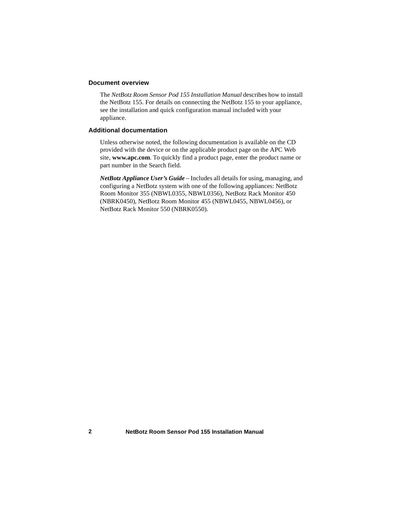#### <span id="page-5-0"></span>**Document overview**

The *NetBotz Room Sensor Pod 155 Installation Manual* describes how to install the NetBotz 155. For details on connecting the NetBotz 155 to your appliance, see the installation and quick configuration manual included with your appliance.

#### <span id="page-5-1"></span>**Additional documentation**

Unless otherwise noted, the following documentation is available on the CD provided with the device or on the applicable product page on the APC Web site, **www.apc.com**. To quickly find a product page, enter the product name or part number in the Search field.

*NetBotz Appliance User's Guide* – Includes all details for using, managing, and configuring a NetBotz system with one of the following appliances: NetBotz Room Monitor 355 (NBWL0355, NBWL0356), NetBotz Rack Monitor 450 (NBRK0450), NetBotz Room Monitor 455 (NBWL0455, NBWL0456), or NetBotz Rack Monitor 550 (NBRK0550).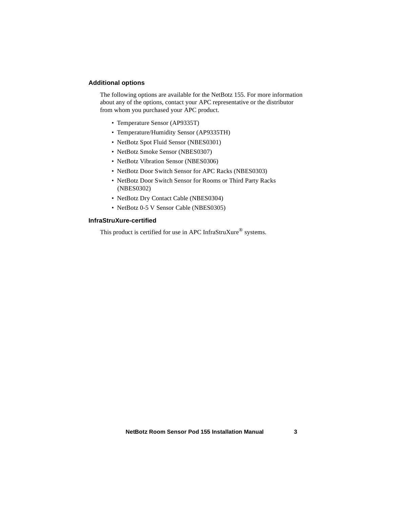## <span id="page-6-0"></span>**Additional options**

The following options are available for the NetBotz 155. For more information about any of the options, contact your APC representative or the distributor from whom you purchased your APC product.

- Temperature Sensor (AP9335T)
- Temperature/Humidity Sensor (AP9335TH)
- NetBotz Spot Fluid Sensor (NBES0301)
- NetBotz Smoke Sensor (NBES0307)
- NetBotz Vibration Sensor (NBES0306)
- NetBotz Door Switch Sensor for APC Racks (NBES0303)
- NetBotz Door Switch Sensor for Rooms or Third Party Racks (NBES0302)
- NetBotz Dry Contact Cable (NBES0304)
- NetBotz 0-5 V Sensor Cable (NBES0305)

#### <span id="page-6-1"></span>**InfraStruXure-certified**

This product is certified for use in APC InfraStruXure<sup>®</sup> systems.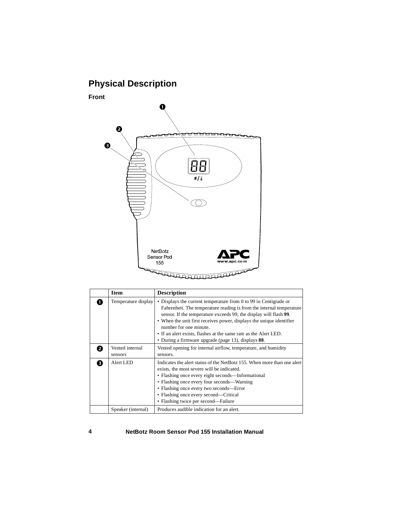# <span id="page-7-0"></span>**Physical Description**

## <span id="page-7-1"></span>**Front**



|   | <b>Item</b>                | <b>Description</b>                                                                                                                                                                                                                                                                                                                                                                                                                         |
|---|----------------------------|--------------------------------------------------------------------------------------------------------------------------------------------------------------------------------------------------------------------------------------------------------------------------------------------------------------------------------------------------------------------------------------------------------------------------------------------|
|   | Temperature display        | • Displays the current temperature from 0 to 99 in Centigrade or<br>Fahrenheit. The temperature reading is from the internal temperature<br>sensor. If the temperature exceeds 99, the display will flash 99.<br>• When the unit first receives power, displays the unique identifier<br>number for one minute.<br>• If an alert exists, flashes at the same rate as the Alert LED.<br>• During a firmware upgrade (page 13), displays 88. |
|   | Vented internal<br>sensors | Vented opening for internal airflow, temperature, and humidity<br>sensors.                                                                                                                                                                                                                                                                                                                                                                 |
| A | Alert LED                  | Indicates the alert status of the NetBotz 155. When more than one alert<br>exists, the most severe will be indicated.<br>• Flashing once every eight seconds—Informational<br>• Flashing once every four seconds—Warning<br>• Flashing once every two seconds—Error<br>• Flashing once every second—Critical<br>• Flashing twice per second—Failure                                                                                        |
|   | Speaker (internal)         | Produces audible indication for an alert.                                                                                                                                                                                                                                                                                                                                                                                                  |

#### **4 NetBotz Room Sensor Pod 155 Installation Manual**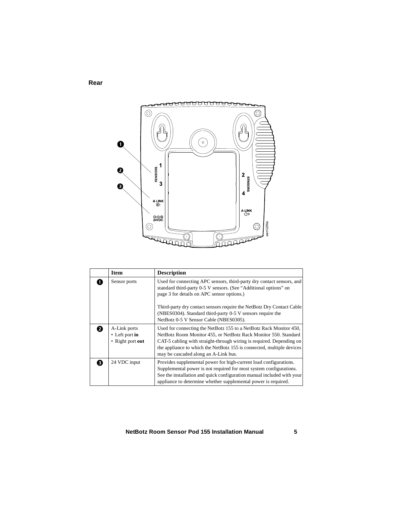## <span id="page-8-0"></span>**Rear**



|              | <b>Item</b>                                              | <b>Description</b>                                                                                                                                                                                                                                                                                                                                                       |
|--------------|----------------------------------------------------------|--------------------------------------------------------------------------------------------------------------------------------------------------------------------------------------------------------------------------------------------------------------------------------------------------------------------------------------------------------------------------|
|              | Sensor ports                                             | Used for connecting APC sensors, third-party dry contact sensors, and<br>standard third-party 0-5 V sensors. (See "Additional options" on<br>page 3 for details on APC sensor options.)<br>Third-party dry contact sensors require the NetBotz Dry Contact Cable<br>(NBES0304). Standard third-party 0-5 V sensors require the<br>NetBotz 0-5 V Sensor Cable (NBES0305). |
|              | A-Link ports<br>$\cdot$ Left port in<br>• Right port out | Used for connecting the NetBotz 155 to a NetBotz Rack Monitor 450,<br>NetBotz Room Monitor 455, or NetBotz Rack Monitor 550. Standard<br>CAT-5 cabling with straight-through wiring is required. Depending on<br>the appliance to which the NetBotz 155 is connected, multiple devices<br>may be cascaded along an A-Link bus.                                           |
| $\mathbf{R}$ | 24 VDC input                                             | Provides supplemental power for high-current load configurations.<br>Supplemental power is not required for most system configurations.<br>See the installation and quick configuration manual included with your<br>appliance to determine whether supplemental power is required.                                                                                      |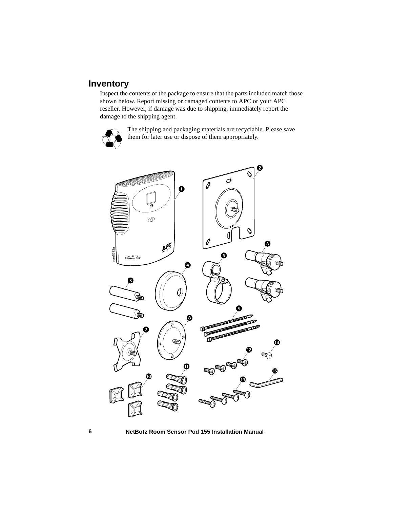## <span id="page-9-0"></span>**Inventory**

Inspect the contents of the package to ensure that the parts included match those shown below. Report missing or damaged contents to APC or your APC reseller. However, if damage was due to shipping, immediately report the damage to the shipping agent.



The shipping and packaging materials are recyclable. Please save them for later use or dispose of them appropriately.



**6 NetBotz Room Sensor Pod 155 Installation Manual**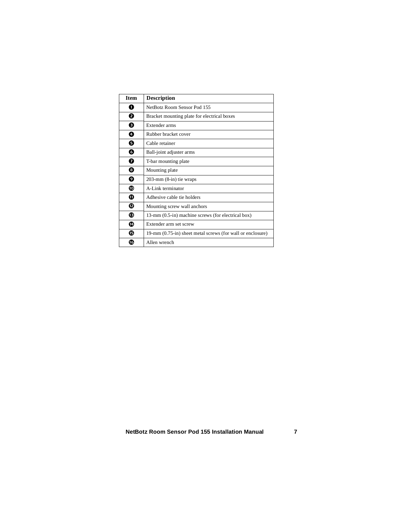| <b>Item</b> | <b>Description</b>                                         |
|-------------|------------------------------------------------------------|
| O           | NetBotz Room Sensor Pod 155                                |
| Ø           | Bracket mounting plate for electrical boxes                |
| ❸           | Extender arms                                              |
| Ø           | Rubber bracket cover                                       |
| Θ           | Cable retainer                                             |
| O           | Ball-joint adjuster arms                                   |
| Đ           | T-bar mounting plate                                       |
| ❸           | Mounting plate                                             |
| Ø           | $203$ -mm $(8$ -in) tie wraps                              |
| ◍           | A-Link terminator                                          |
| ⋒           | Adhesive cable tie holders                                 |
| ®           | Mounting screw wall anchors                                |
| ®           | 13-mm (0.5-in) machine screws (for electrical box)         |
| ◍           | Extender arm set screw                                     |
| ®           | 19-mm (0.75-in) sheet metal screws (for wall or enclosure) |
| 伛           | Allen wrench                                               |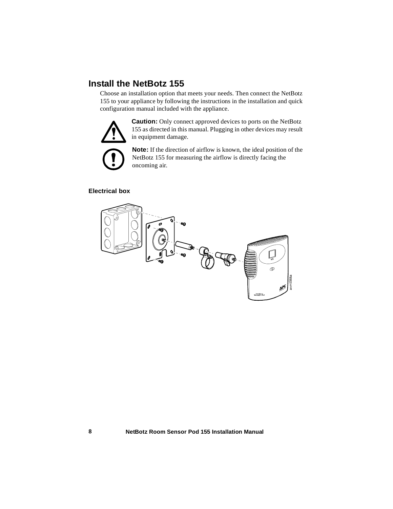# <span id="page-11-0"></span>**Install the NetBotz 155**

Choose an installation option that meets your needs. Then connect the NetBotz 155 to your appliance by following the instructions in the installation and quick configuration manual included with the appliance.



**Caution:** Only connect approved devices to ports on the NetBotz 155 as directed in this manual. Plugging in other devices may result in equipment damage.

**Note:** If the direction of airflow is known, the ideal position of the NetBotz 155 for measuring the airflow is directly facing the oncoming air.

## <span id="page-11-1"></span>**Electrical box**

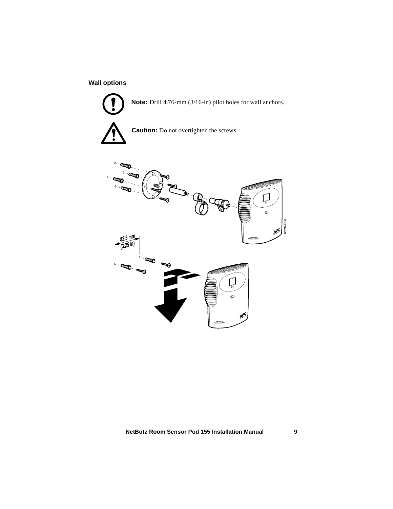## <span id="page-12-0"></span>**Wall options**



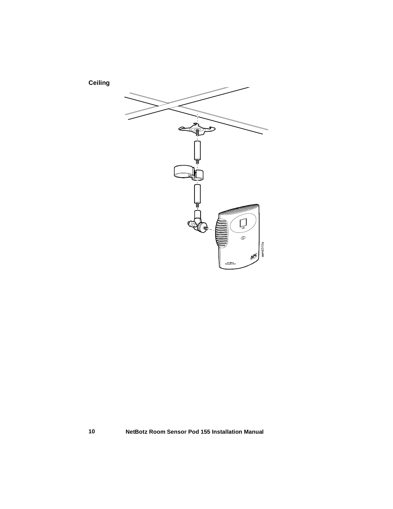## <span id="page-13-0"></span>**Ceiling**

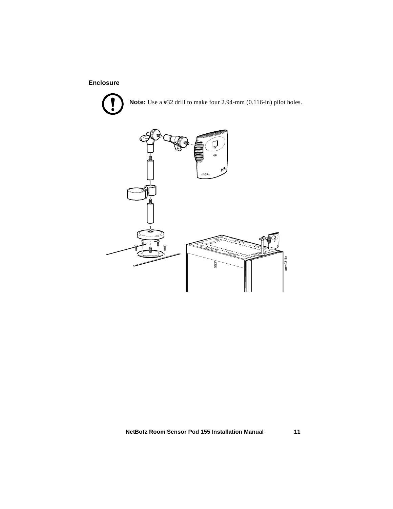## <span id="page-14-0"></span>**Enclosure**



**Note:** Use a #32 drill to make four 2.94-mm (0.116-in) pilot holes.

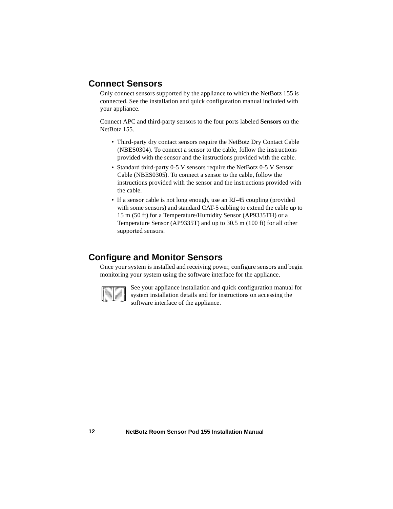## <span id="page-15-0"></span>**Connect Sensors**

Only connect sensors supported by the appliance to which the NetBotz 155 is connected. See the installation and quick configuration manual included with your appliance.

Connect APC and third-party sensors to the four ports labeled **Sensors** on the NetBotz 155.

- Third-party dry contact sensors require the NetBotz Dry Contact Cable (NBES0304). To connect a sensor to the cable, follow the instructions provided with the sensor and the instructions provided with the cable.
- Standard third-party 0-5 V sensors require the NetBotz 0-5 V Sensor Cable (NBES0305). To connect a sensor to the cable, follow the instructions provided with the sensor and the instructions provided with the cable.
- If a sensor cable is not long enough, use an RJ-45 coupling (provided with some sensors) and standard CAT-5 cabling to extend the cable up to 15 m (50 ft) for a Temperature/Humidity Sensor (AP9335TH) or a Temperature Sensor (AP9335T) and up to 30.5 m (100 ft) for all other supported sensors.

## <span id="page-15-1"></span>**Configure and Monitor Sensors**

Once your system is installed and receiving power, configure sensors and begin monitoring your system using the software interface for the appliance.

See your appliance installation and quick configuration manual for system installation details and for instructions on accessing the software interface of the appliance.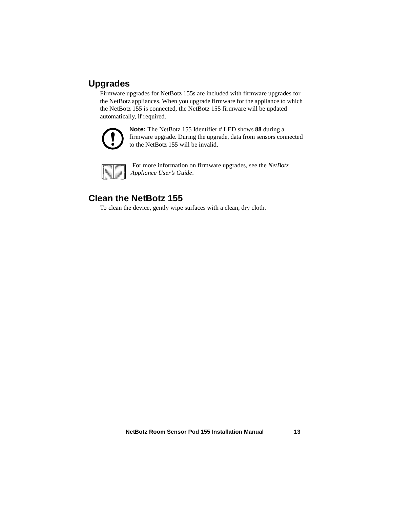# <span id="page-16-0"></span>**Upgrades**

Firmware upgrades for NetBotz 155s are included with firmware upgrades for the NetBotz appliances. When you upgrade firmware for the appliance to which the NetBotz 155 is connected, the NetBotz 155 firmware will be updated automatically, if required.



**Note:** The NetBotz 155 Identifier # LED shows **88** during a firmware upgrade. During the upgrade, data from sensors connected to the NetBotz 155 will be invalid.

 For more information on firmware upgrades, see the *NetBotz Appliance User's Guide*.

## <span id="page-16-1"></span>**Clean the NetBotz 155**

To clean the device, gently wipe surfaces with a clean, dry cloth.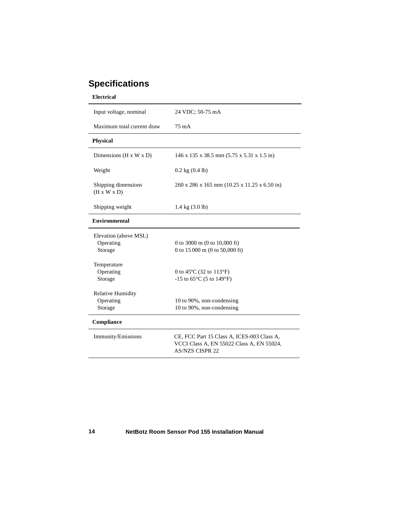# <span id="page-17-0"></span>**Specifications**

| <b>Electrical</b>                                                                                                                        |                                                                                                                                                                                                                               |  |  |
|------------------------------------------------------------------------------------------------------------------------------------------|-------------------------------------------------------------------------------------------------------------------------------------------------------------------------------------------------------------------------------|--|--|
| Input voltage, nominal                                                                                                                   | 24 VDC; 50-75 mA                                                                                                                                                                                                              |  |  |
| Maximum total current draw                                                                                                               | 75 m A                                                                                                                                                                                                                        |  |  |
| <b>Physical</b>                                                                                                                          |                                                                                                                                                                                                                               |  |  |
| Dimensions ( $H \times W \times D$ )                                                                                                     | 146 x 135 x 38.5 mm (5.75 x 5.31 x 1.5 in)                                                                                                                                                                                    |  |  |
| Weight                                                                                                                                   | $0.2$ kg $(0.4$ lb)                                                                                                                                                                                                           |  |  |
| Shipping dimensions<br>$(H \times W \times D)$                                                                                           | 260 x 286 x 165 mm (10.25 x 11.25 x 6.50 in)                                                                                                                                                                                  |  |  |
| Shipping weight                                                                                                                          | $1.4 \text{ kg} (3.0 \text{ lb})$                                                                                                                                                                                             |  |  |
| <b>Environmental</b>                                                                                                                     |                                                                                                                                                                                                                               |  |  |
| Elevation (above MSL)<br>Operating<br>Storage<br>Temperature<br>Operating<br>Storage<br><b>Relative Humidity</b><br>Operating<br>Storage | 0 to 3000 m (0 to 10,000 ft)<br>0 to 15 000 m (0 to 50,000 ft)<br>0 to 45 $^{\circ}$ C (32 to 113 $^{\circ}$ F)<br>$-15$ to 65 $^{\circ}$ C (5 to 149 $^{\circ}$ F)<br>10 to 90%, non-condensing<br>10 to 90%, non-condensing |  |  |
| Compliance                                                                                                                               |                                                                                                                                                                                                                               |  |  |
| Immunity/Emissions                                                                                                                       | CE, FCC Part 15 Class A, ICES-003 Class A,<br>VCCI Class A, EN 55022 Class A, EN 55024,<br><b>AS/NZS CISPR 22</b>                                                                                                             |  |  |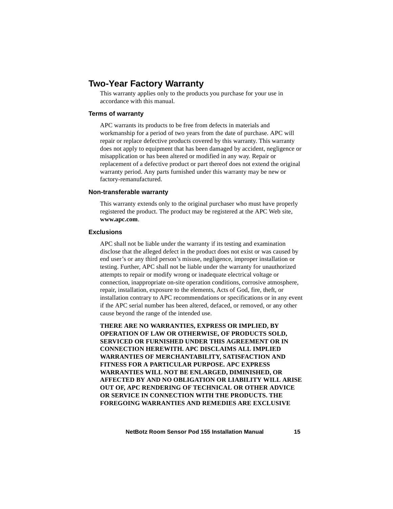## <span id="page-18-0"></span>**Two-Year Factory Warranty**

This warranty applies only to the products you purchase for your use in accordance with this manual.

### <span id="page-18-1"></span>**Terms of warranty**

APC warrants its products to be free from defects in materials and workmanship for a period of two years from the date of purchase. APC will repair or replace defective products covered by this warranty. This warranty does not apply to equipment that has been damaged by accident, negligence or misapplication or has been altered or modified in any way. Repair or replacement of a defective product or part thereof does not extend the original warranty period. Any parts furnished under this warranty may be new or factory-remanufactured.

#### <span id="page-18-2"></span>**Non-transferable warranty**

[This warranty extends only to the original purchaser who must have properly](http://www.apc.com)  [registered the product. The product may be registered at the APC Web site,](http://www.apc.com)  **www.apc.com**.

#### <span id="page-18-3"></span>**Exclusions**

APC shall not be liable under the warranty if its testing and examination disclose that the alleged defect in the product does not exist or was caused by end user's or any third person's misuse, negligence, improper installation or testing. Further, APC shall not be liable under the warranty for unauthorized attempts to repair or modify wrong or inadequate electrical voltage or connection, inappropriate on-site operation conditions, corrosive atmosphere, repair, installation, exposure to the elements, Acts of God, fire, theft, or installation contrary to APC recommendations or specifications or in any event if the APC serial number has been altered, defaced, or removed, or any other cause beyond the range of the intended use.

**THERE ARE NO WARRANTIES, EXPRESS OR IMPLIED, BY OPERATION OF LAW OR OTHERWISE, OF PRODUCTS SOLD, SERVICED OR FURNISHED UNDER THIS AGREEMENT OR IN CONNECTION HEREWITH. APC DISCLAIMS ALL IMPLIED WARRANTIES OF MERCHANTABILITY, SATISFACTION AND FITNESS FOR A PARTICULAR PURPOSE. APC EXPRESS WARRANTIES WILL NOT BE ENLARGED, DIMINISHED, OR AFFECTED BY AND NO OBLIGATION OR LIABILITY WILL ARISE OUT OF, APC RENDERING OF TECHNICAL OR OTHER ADVICE OR SERVICE IN CONNECTION WITH THE PRODUCTS. THE FOREGOING WARRANTIES AND REMEDIES ARE EXCLUSIVE**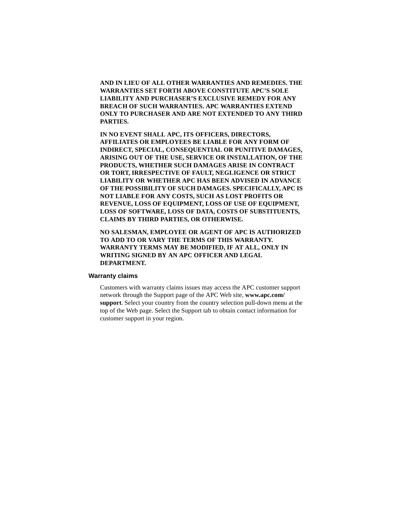**AND IN LIEU OF ALL OTHER WARRANTIES AND REMEDIES. THE WARRANTIES SET FORTH ABOVE CONSTITUTE APC'S SOLE LIABILITY AND PURCHASER'S EXCLUSIVE REMEDY FOR ANY BREACH OF SUCH WARRANTIES. APC WARRANTIES EXTEND ONLY TO PURCHASER AND ARE NOT EXTENDED TO ANY THIRD PARTIES.** 

**IN NO EVENT SHALL APC, ITS OFFICERS, DIRECTORS, AFFILIATES OR EMPLOYEES BE LIABLE FOR ANY FORM OF INDIRECT, SPECIAL, CONSEQUENTIAL OR PUNITIVE DAMAGES, ARISING OUT OF THE USE, SERVICE OR INSTALLATION, OF THE PRODUCTS, WHETHER SUCH DAMAGES ARISE IN CONTRACT OR TORT, IRRESPECTIVE OF FAULT, NEGLIGENCE OR STRICT LIABILITY OR WHETHER APC HAS BEEN ADVISED IN ADVANCE OF THE POSSIBILITY OF SUCH DAMAGES. SPECIFICALLY, APC IS NOT LIABLE FOR ANY COSTS, SUCH AS LOST PROFITS OR REVENUE, LOSS OF EQUIPMENT, LOSS OF USE OF EQUIPMENT, LOSS OF SOFTWARE, LOSS OF DATA, COSTS OF SUBSTITUENTS, CLAIMS BY THIRD PARTIES, OR OTHERWISE.**

**NO SALESMAN, EMPLOYEE OR AGENT OF APC IS AUTHORIZED TO ADD TO OR VARY THE TERMS OF THIS WARRANTY. WARRANTY TERMS MAY BE MODIFIED, IF AT ALL, ONLY IN WRITING SIGNED BY AN APC OFFICER AND LEGAL DEPARTMENT.** 

#### <span id="page-19-0"></span>**Warranty claims**

[Customers with warranty claims issues may access the APC customer support](http://www.apc.com/support)  [network through the Support page of the APC Web site,](http://www.apc.com/support) **www.apc.com/ support**. Select your country from the country selection pull-down menu at the top of the Web page. Select the Support tab to obtain contact information for customer support in your region.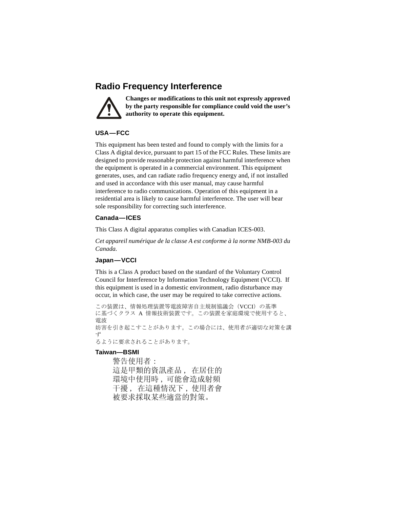# **Radio Frequency Interference**



**Changes or modifications to this unit not expressly approved by the party responsible for compliance could void the user's authority to operate this equipment.**

## **USA—FCC**

This equipment has been tested and found to comply with the limits for a Class A digital device, pursuant to part 15 of the FCC Rules. These limits are designed to provide reasonable protection against harmful interference when the equipment is operated in a commercial environment. This equipment generates, uses, and can radiate radio frequency energy and, if not installed and used in accordance with this user manual, may cause harmful interference to radio communications. Operation of this equipment in a residential area is likely to cause harmful interference. The user will bear sole responsibility for correcting such interference.

## **Canada—ICES**

This Class A digital apparatus complies with Canadian ICES-003.

*Cet appareil numérique de la classe A est conforme à la norme NMB-003 du Canada.*

## **Japan—VCCI**

This is a Class A product based on the standard of the Voluntary Control Council for Interference by Information Technology Equipment (VCCI). If this equipment is used in a domestic environment, radio disturbance may occur, in which case, the user may be required to take corrective actions.

この装置は、情報処理装置等電波障害自主規制協議会(VCCI)の基準 に基づくクラス A 情報技術装置です。この装置を家庭環境で使用すると、 電波 妨害を引き起こすことがあります。この場合には、使用者が適切な対策を講 ず るように要求されることがあります。

### **Taiwan—BSMI**

警告使用者 : 這是甲類的資訊產品 , 在居住的 環境中使用時 , 可能會造成射頻 干擾 , 在這種情況下 , 使用者會 被要求採取某些適當的對策。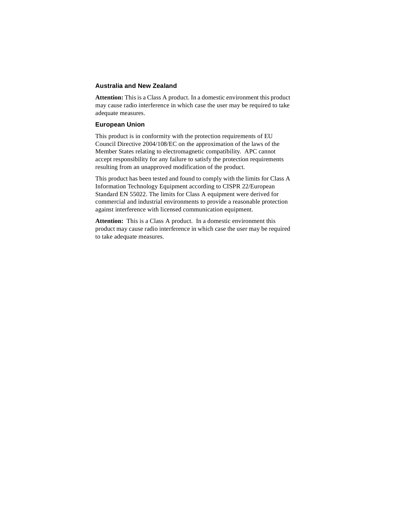## **Australia and New Zealand**

**Attention:** This is a Class A product. In a domestic environment this product may cause radio interference in which case the user may be required to take adequate measures.

## **European Union**

This product is in conformity with the protection requirements of EU Council Directive 2004/108/EC on the approximation of the laws of the Member States relating to electromagnetic compatibility. APC cannot accept responsibility for any failure to satisfy the protection requirements resulting from an unapproved modification of the product.

This product has been tested and found to comply with the limits for Class A Information Technology Equipment according to CISPR 22/European Standard EN 55022. The limits for Class A equipment were derived for commercial and industrial environments to provide a reasonable protection against interference with licensed communication equipment.

Attention: This is a Class A product. In a domestic environment this product may cause radio interference in which case the user may be required to take adequate measures.